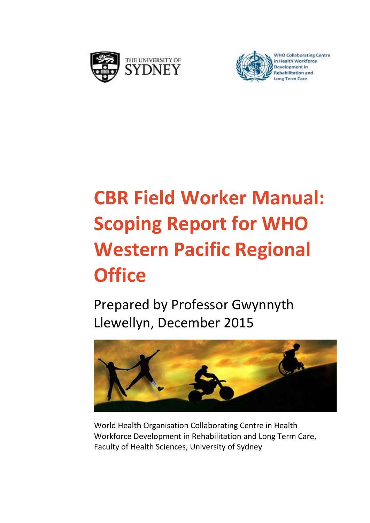



**WHO Collaborating Centre** in Health Workforce

# **CBR Field Worker Manual: Scoping Report for WHO Western Pacific Regional Office**

Prepared by Professor Gwynnyth Llewellyn, December 2015



World Health Organisation Collaborating Centre in Health Workforce Development in Rehabilitation and Long Term Care, Faculty of Health Sciences, University of Sydney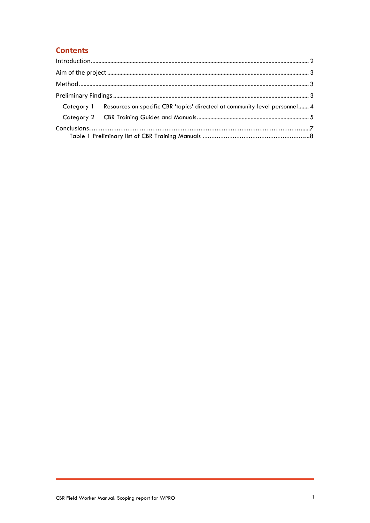### **Contents**

| Category 1 Resources on specific CBR 'topics' directed at community level personnel 4 |  |
|---------------------------------------------------------------------------------------|--|
|                                                                                       |  |
|                                                                                       |  |
|                                                                                       |  |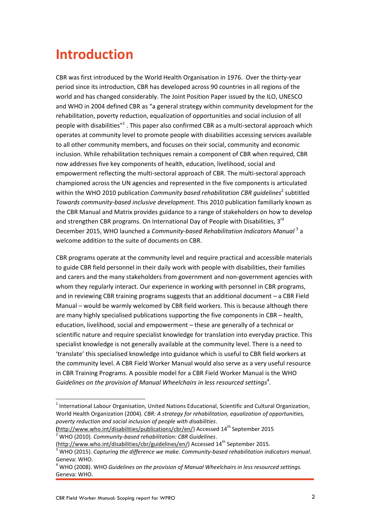## <span id="page-2-0"></span>**Introduction**

CBR was first introduced by the World Health Organisation in 1976. Over the thirty-year period since its introduction, CBR has developed across 90 countries in all regions of the world and has changed considerably. The Joint Position Paper issued by the ILO, UNESCO and WHO in 2004 defined CBR as "a general strategy within community development for the rehabilitation, poverty reduction, equalization of opportunities and social inclusion of all people with disabilities"<sup>1</sup>. This paper also confirmed CBR as a multi-sectoral approach which operates at community level to promote people with disabilities accessing services available to all other community members, and focuses on their social, community and economic inclusion. While rehabilitation techniques remain a component of CBR when required, CBR now addresses five key components of health, education, livelihood, social and empowerment reflecting the multi-sectoral approach of CBR. The multi-sectoral approach championed across the UN agencies and represented in the five components is articulated within the WHO 2010 publication *Community based rehabilitation CBR guidelines*<sup>2</sup> subtitled *Towards community-based inclusive development*. This 2010 publication familiarly known as the CBR Manual and Matrix provides guidance to a range of stakeholders on how to develop and strengthen CBR programs. On International Day of People with Disabilities, 3<sup>rd</sup> December 2015, WHO launched a *Community-based Rehabilitation Indicators Manual*<sup>3</sup> a welcome addition to the suite of documents on CBR.

CBR programs operate at the community level and require practical and accessible materials to guide CBR field personnel in their daily work with people with disabilities, their families and carers and the many stakeholders from government and non-government agencies with whom they regularly interact. Our experience in working with personnel in CBR programs, and in reviewing CBR training programs suggests that an additional document – a CBR Field Manual – would be warmly welcomed by CBR field workers. This is because although there are many highly specialised publications supporting the five components in CBR – health, education, livelihood, social and empowerment – these are generally of a technical or scientific nature and require specialist knowledge for translation into everyday practice. This specialist knowledge is not generally available at the community level. There is a need to 'translate' this specialised knowledge into guidance which is useful to CBR field workers at the community level. A CBR Field Worker Manual would also serve as a very useful resource in CBR Training Programs. A possible model for a CBR Field Worker Manual is the WHO Guidelines on the provision of Manual Wheelchairs in less resourced settings<sup>4</sup>.

 $<sup>1</sup>$  International Labour Organisation, United Nations Educational, Scientific and Cultural Organization,</sup> World Health Organization (2004). *CBR: A strategy for rehabilitation, equalization of opportunities, poverty reduction and social inclusion of people with disabilities*.

**<sup>(</sup>**[http://www.who.int/disabilities/publications/cbr/en/\)](http://www.who.int/disabilities/publications/cbr/en/) Accessed 14th September 2015 <sup>2</sup> WHO (2010). *Community-based rehabilitation: CBR Guidelines*.

[<sup>\(</sup>http://www.who.int/disabilities/cbr/guidelines/en/\)](http://www.who.int/disabilities/cbr/guidelines/en/) Accessed 14<sup>th</sup> September 2015.

<sup>3</sup> WHO (2015). *Capturing the difference we make. Community-based rehabilitation indicators manual*. Geneva: WHO.

<sup>4</sup> WHO (2008). WHO *Guidelines on the provision of Manual Wheelchairs in less resourced settings.*  Geneva: WHO.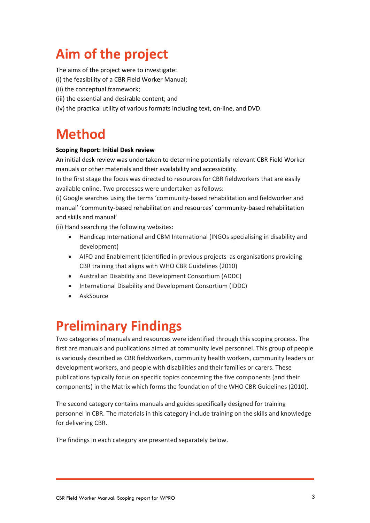## <span id="page-3-0"></span>**Aim of the project**

The aims of the project were to investigate:

(i) the feasibility of a CBR Field Worker Manual;

- (ii) the conceptual framework;
- (iii) the essential and desirable content; and
- <span id="page-3-1"></span>(iv) the practical utility of various formats including text, on-line, and DVD.

## **Method**

#### **Scoping Report: Initial Desk review**

An initial desk review was undertaken to determine potentially relevant CBR Field Worker manuals or other materials and their availability and accessibility.

In the first stage the focus was directed to resources for CBR fieldworkers that are easily available online. Two processes were undertaken as follows:

(i) Google searches using the terms 'community-based rehabilitation and fieldworker and manual' 'community-based rehabilitation and resources' community-based rehabilitation and skills and manual'

(ii) Hand searching the following websites:

- Handicap International and CBM International (INGOs specialising in disability and development)
- AIFO and Enablement (identified in previous projects as organisations providing CBR training that aligns with WHO CBR Guidelines (2010)
- Australian Disability and Development Consortium (ADDC)
- International Disability and Development Consortium (IDDC)
- AskSource

### <span id="page-3-2"></span>**Preliminary Findings**

Two categories of manuals and resources were identified through this scoping process. The first are manuals and publications aimed at community level personnel. This group of people is variously described as CBR fieldworkers, community health workers, community leaders or development workers, and people with disabilities and their families or carers. These publications typically focus on specific topics concerning the five components (and their components) in the Matrix which forms the foundation of the WHO CBR Guidelines (2010).

The second category contains manuals and guides specifically designed for training personnel in CBR. The materials in this category include training on the skills and knowledge for delivering CBR.

The findings in each category are presented separately below.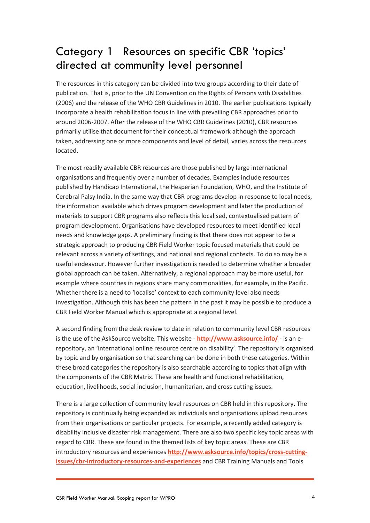### <span id="page-4-0"></span>Category 1 Resources on specific CBR 'topics' directed at community level personnel

The resources in this category can be divided into two groups according to their date of publication. That is, prior to the UN Convention on the Rights of Persons with Disabilities (2006) and the release of the WHO CBR Guidelines in 2010. The earlier publications typically incorporate a health rehabilitation focus in line with prevailing CBR approaches prior to around 2006-2007. After the release of the WHO CBR Guidelines (2010), CBR resources primarily utilise that document for their conceptual framework although the approach taken, addressing one or more components and level of detail, varies across the resources located.

The most readily available CBR resources are those published by large international organisations and frequently over a number of decades. Examples include resources published by Handicap International, the Hesperian Foundation, WHO, and the Institute of Cerebral Palsy India. In the same way that CBR programs develop in response to local needs, the information available which drives program development and later the production of materials to support CBR programs also reflects this localised, contextualised pattern of program development. Organisations have developed resources to meet identified local needs and knowledge gaps. A preliminary finding is that there does not appear to be a strategic approach to producing CBR Field Worker topic focused materials that could be relevant across a variety of settings, and national and regional contexts. To do so may be a useful endeavour. However further investigation is needed to determine whether a broader global approach can be taken. Alternatively, a regional approach may be more useful, for example where countries in regions share many commonalities, for example, in the Pacific. Whether there is a need to 'localise' context to each community level also needs investigation. Although this has been the pattern in the past it may be possible to produce a CBR Field Worker Manual which is appropriate at a regional level.

A second finding from the desk review to date in relation to community level CBR resources is the use of the AskSource website. This website - **<http://www.asksource.info/>** - is an erepository, an 'international online resource centre on disability'. The repository is organised by topic and by organisation so that searching can be done in both these categories. Within these broad categories the repository is also searchable according to topics that align with the components of the CBR Matrix. These are health and functional rehabilitation, education, livelihoods, social inclusion, humanitarian, and cross cutting issues.

There is a large collection of community level resources on CBR held in this repository. The repository is continually being expanded as individuals and organisations upload resources from their organisations or particular projects. For example, a recently added category is disability inclusive disaster risk management. There are also two specific key topic areas with regard to CBR. These are found in the themed lists of key topic areas. These are CBR introductory resources and experiences **[http://www.asksource.info/topics/cross-cutting](http://www.asksource.info/topics/cross-cutting-issues/cbr-introductory-resources-and-experiences)[issues/cbr-introductory-resources-and-experiences](http://www.asksource.info/topics/cross-cutting-issues/cbr-introductory-resources-and-experiences)** and CBR Training Manuals and Tools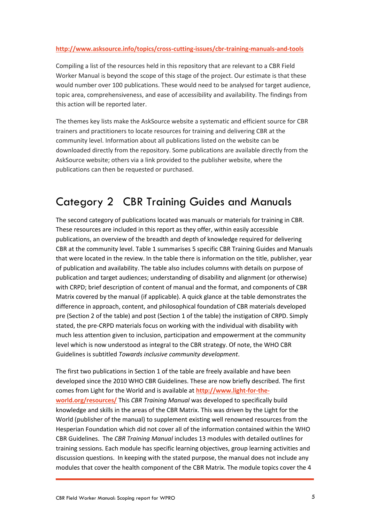#### **<http://www.asksource.info/topics/cross-cutting-issues/cbr-training-manuals-and-tools>**

Compiling a list of the resources held in this repository that are relevant to a CBR Field Worker Manual is beyond the scope of this stage of the project. Our estimate is that these would number over 100 publications. These would need to be analysed for target audience, topic area, comprehensiveness, and ease of accessibility and availability. The findings from this action will be reported later.

The themes key lists make the AskSource website a systematic and efficient source for CBR trainers and practitioners to locate resources for training and delivering CBR at the community level. Information about all publications listed on the website can be downloaded directly from the repository. Some publications are available directly from the AskSource website; others via a link provided to the publisher website, where the publications can then be requested or purchased.

### <span id="page-5-0"></span>Category 2 CBR Training Guides and Manuals

The second category of publications located was manuals or materials for training in CBR. These resources are included in this report as they offer, within easily accessible publications, an overview of the breadth and depth of knowledge required for delivering CBR at the community level. Table 1 summarises 5 specific CBR Training Guides and Manuals that were located in the review. In the table there is information on the title, publisher, year of publication and availability. The table also includes columns with details on purpose of publication and target audiences; understanding of disability and alignment (or otherwise) with CRPD; brief description of content of manual and the format, and components of CBR Matrix covered by the manual (if applicable). A quick glance at the table demonstrates the difference in approach, content, and philosophical foundation of CBR materials developed pre (Section 2 of the table) and post (Section 1 of the table) the instigation of CRPD. Simply stated, the pre-CRPD materials focus on working with the individual with disability with much less attention given to inclusion, participation and empowerment at the community level which is now understood as integral to the CBR strategy. Of note, the WHO CBR Guidelines is subtitled *Towards inclusive community development*.

The first two publications in Section 1 of the table are freely available and have been developed since the 2010 WHO CBR Guidelines. These are now briefly described. The first comes from Light for the World and is available at **[http://www.light-for-the](http://www.light-for-the-world.org/resources/)[world.org/resources/](http://www.light-for-the-world.org/resources/)** This *CBR Training Manual* was developed to specifically build knowledge and skills in the areas of the CBR Matrix. This was driven by the Light for the World (publisher of the manual) to supplement existing well renowned resources from the Hesperian Foundation which did not cover all of the information contained within the WHO CBR Guidelines. The *CBR Training Manual* includes 13 modules with detailed outlines for training sessions. Each module has specific learning objectives, group learning activities and discussion questions. In keeping with the stated purpose, the manual does not include any modules that cover the health component of the CBR Matrix. The module topics cover the 4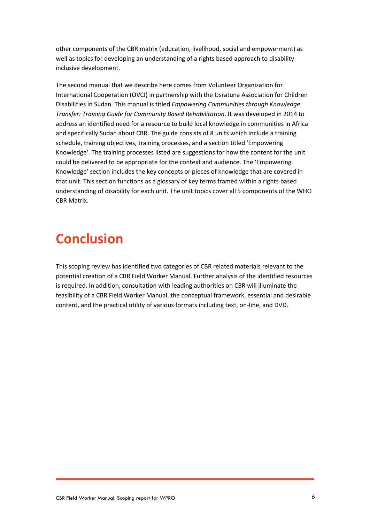other components of the CBR matrix (education, livelihood, social and empowerment) as well as topics for developing an understanding of a rights based approach to disability inclusive development.

The second manual that we describe here comes from Volunteer Organization for International Cooperation (OVCI) in partnership with the Usratuna Association for Children Disabilities in Sudan. This manual is titled *Empowering Communities through Knowledge Transfer: Training Guide for Community Based Rehabilitation*. It was developed in 2014 to address an identified need for a resource to build local knowledge in communities in Africa and specifically Sudan about CBR. The guide consists of 8 units which include a training schedule, training objectives, training processes, and a section titled 'Empowering Knowledge'. The training processes listed are suggestions for how the content for the unit could be delivered to be appropriate for the context and audience. The 'Empowering Knowledge' section includes the key concepts or pieces of knowledge that are covered in that unit. This section functions as a glossary of key terms framed within a rights based understanding of disability for each unit. The unit topics cover all 5 components of the WHO CBR Matrix.

## **Conclusion**

This scoping review has identified two categories of CBR related materials relevant to the potential creation of a CBR Field Worker Manual. Further analysis of the identified resources is required. In addition, consultation with leading authorities on CBR will illuminate the feasibility of a CBR Field Worker Manual, the conceptual framework, essential and desirable content, and the practical utility of various formats including text, on-line, and DVD.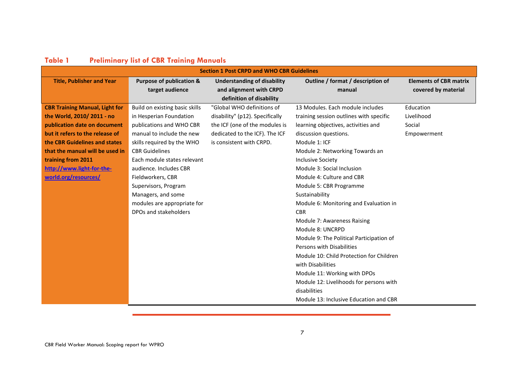<span id="page-7-0"></span>

| <b>Section 1 Post CRPD and WHO CBR Guidelines</b> |                                     |                                    |                                          |                               |
|---------------------------------------------------|-------------------------------------|------------------------------------|------------------------------------------|-------------------------------|
| <b>Title, Publisher and Year</b>                  | <b>Purpose of publication &amp;</b> | <b>Understanding of disability</b> | Outline / format / description of        | <b>Elements of CBR matrix</b> |
|                                                   | target audience                     | and alignment with CRPD            | manual                                   | covered by material           |
|                                                   |                                     | definition of disability           |                                          |                               |
| <b>CBR Training Manual, Light for</b>             | Build on existing basic skills      | "Global WHO definitions of         | 13 Modules. Each module includes         | Education                     |
| the World, 2010/2011 - no                         | in Hesperian Foundation             | disability" (p12). Specifically    | training session outlines with specific  | Livelihood                    |
| publication date on document                      | publications and WHO CBR            | the ICF (one of the modules is     | learning objectives, activities and      | Social                        |
| but it refers to the release of                   | manual to include the new           | dedicated to the ICF). The ICF     | discussion questions.                    | Empowerment                   |
| the CBR Guidelines and states                     | skills required by the WHO          | is consistent with CRPD.           | Module 1: ICF                            |                               |
| that the manual will be used in                   | <b>CBR Guidelines</b>               |                                    | Module 2: Networking Towards an          |                               |
| training from 2011                                | Each module states relevant         |                                    | <b>Inclusive Society</b>                 |                               |
| http://www.light-for-the-                         | audience. Includes CBR              |                                    | Module 3: Social Inclusion               |                               |
| world.org/resources/                              | Fieldworkers, CBR                   |                                    | Module 4: Culture and CBR                |                               |
|                                                   | Supervisors, Program                |                                    | Module 5: CBR Programme                  |                               |
|                                                   | Managers, and some                  |                                    | Sustainability                           |                               |
|                                                   | modules are appropriate for         |                                    | Module 6: Monitoring and Evaluation in   |                               |
|                                                   | DPOs and stakeholders               |                                    | <b>CBR</b>                               |                               |
|                                                   |                                     |                                    | Module 7: Awareness Raising              |                               |
|                                                   |                                     |                                    | Module 8: UNCRPD                         |                               |
|                                                   |                                     |                                    | Module 9: The Political Participation of |                               |
|                                                   |                                     |                                    | Persons with Disabilities                |                               |
|                                                   |                                     |                                    | Module 10: Child Protection for Children |                               |
|                                                   |                                     |                                    | with Disabilities                        |                               |
|                                                   |                                     |                                    | Module 11: Working with DPOs             |                               |
|                                                   |                                     |                                    | Module 12: Livelihoods for persons with  |                               |
|                                                   |                                     |                                    | disabilities                             |                               |
|                                                   |                                     |                                    | Module 13: Inclusive Education and CBR   |                               |
|                                                   |                                     |                                    |                                          |                               |

### **Table 1 Preliminary list of CBR Training Manuals**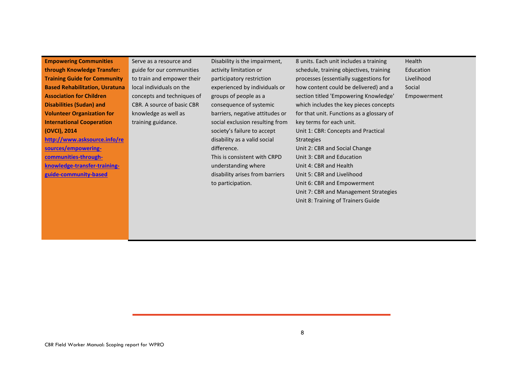**Empowering Communities through Knowledge Transfer: Training Guide for Community Based Rehabilitation, Usratuna Association for Children Disabilities (Sudan) and Volunteer Organization for International Cooperation (OVCI), 2014 [http://www.asksource.info/re](http://www.asksource.info/resources/empowering-communities-through-knowledge-transfer-training-guide-community-based) [sources/empowering-](http://www.asksource.info/resources/empowering-communities-through-knowledge-transfer-training-guide-community-based)**

**[communities-through](http://www.asksource.info/resources/empowering-communities-through-knowledge-transfer-training-guide-community-based)[knowledge-transfer-training](http://www.asksource.info/resources/empowering-communities-through-knowledge-transfer-training-guide-community-based)[guide-community-based](http://www.asksource.info/resources/empowering-communities-through-knowledge-transfer-training-guide-community-based)**

Serve as a resource and guide for our communities to train and empower their local individuals on the concepts and techniques of CBR. A source of basic CBR knowledge as well as training guidance.

Disability is the impairment, activity limitation or participatory restriction experienced by individuals or groups of people as a consequence of systemic barriers, negative attitudes or social exclusion resulting from society's failure to accept disability as a valid social difference. This is consistent with CRPD understanding where disability arises from barriers to participation.

8 units. Each unit includes a training schedule, training objectives, training processes (essentially suggestions for how content could be delivered) and a section titled 'Empowering Knowledge' which includes the key pieces concepts for that unit. Functions as a glossary of key terms for each unit. Unit 1: CBR: Concepts and Practical **Strategies** Unit 2: CBR and Social Change Unit 3: CBR and Education Unit 4: CBR and Health Unit 5: CBR and Livelihood Unit 6: CBR and Empowerment Unit 7: CBR and Management Strategies Unit 8: Training of Trainers Guide

Health Education Livelihood Social Empowerment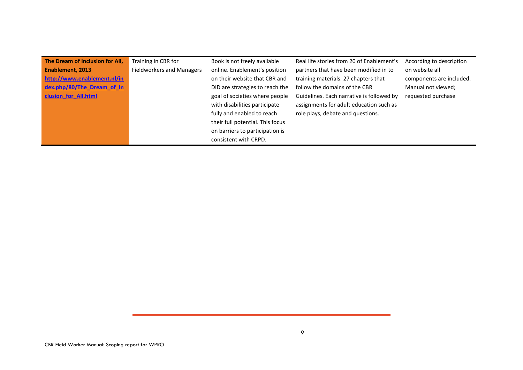| The Dream of Inclusion for All, | Training in CBR for              | Book is not freely available     | Real life stories from 20 of Enablement's | According to description |
|---------------------------------|----------------------------------|----------------------------------|-------------------------------------------|--------------------------|
| Enablement, 2013                | <b>Fieldworkers and Managers</b> | online. Enablement's position    | partners that have been modified in to    | on website all           |
| http://www.enablement.nl/in     |                                  | on their website that CBR and    | training materials. 27 chapters that      | components are included. |
| dex.php/80/The Dream of In      |                                  | DID are strategies to reach the  | follow the domains of the CBR             | Manual not viewed;       |
| clusion for All.html            |                                  | goal of societies where people   | Guidelines. Each narrative is followed by | requested purchase       |
|                                 |                                  | with disabilities participate    | assignments for adult education such as   |                          |
|                                 |                                  | fully and enabled to reach       | role plays, debate and questions.         |                          |
|                                 |                                  | their full potential. This focus |                                           |                          |
|                                 |                                  | on barriers to participation is  |                                           |                          |
|                                 |                                  | consistent with CRPD.            |                                           |                          |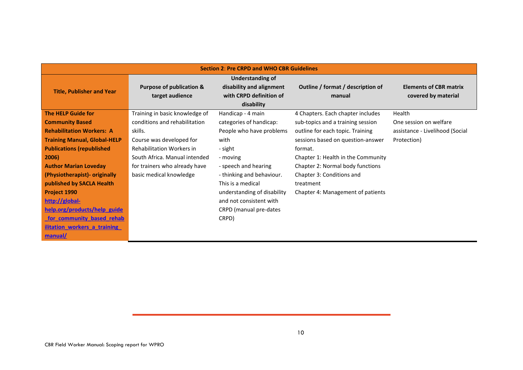| <b>Section 2: Pre CRPD and WHO CBR Guidelines</b> |                                             |                                                                                       |                                             |                                                      |
|---------------------------------------------------|---------------------------------------------|---------------------------------------------------------------------------------------|---------------------------------------------|------------------------------------------------------|
| <b>Title, Publisher and Year</b>                  | Purpose of publication &<br>target audience | Understanding of<br>disability and alignment<br>with CRPD definition of<br>disability | Outline / format / description of<br>manual | <b>Elements of CBR matrix</b><br>covered by material |
| <b>The HELP Guide for</b>                         | Training in basic knowledge of              | Handicap - 4 main                                                                     | 4 Chapters. Each chapter includes           | Health                                               |
| <b>Community Based</b>                            | conditions and rehabilitation               | categories of handicap:                                                               | sub-topics and a training session           | One session on welfare                               |
| <b>Rehabilitation Workers: A</b>                  | skills.                                     | People who have problems                                                              | outline for each topic. Training            | assistance - Livelihood (Social                      |
| <b>Training Manual, Global-HELP</b>               | Course was developed for                    | with                                                                                  | sessions based on question-answer           | Protection)                                          |
| <b>Publications (republished)</b>                 | Rehabilitation Workers in                   | - sight                                                                               | format.                                     |                                                      |
| 2006)                                             | South Africa. Manual intended               | - moving                                                                              | Chapter 1: Health in the Community          |                                                      |
| <b>Author Marian Loveday</b>                      | for trainers who already have               | - speech and hearing                                                                  | Chapter 2: Normal body functions            |                                                      |
| (Physiotherapist)- originally                     | basic medical knowledge                     | - thinking and behaviour.                                                             | Chapter 3: Conditions and                   |                                                      |
| published by SACLA Health                         |                                             | This is a medical                                                                     | treatment                                   |                                                      |
| <b>Project 1990</b>                               |                                             | understanding of disability                                                           | Chapter 4: Management of patients           |                                                      |
| http://global-                                    |                                             | and not consistent with                                                               |                                             |                                                      |
| <u>help.org/products/help guide</u>               |                                             | CRPD (manual pre-dates                                                                |                                             |                                                      |
| <u>for community based rehab</u>                  |                                             | CRPD)                                                                                 |                                             |                                                      |
| <b>ilitation workers a training</b>               |                                             |                                                                                       |                                             |                                                      |
| manual/                                           |                                             |                                                                                       |                                             |                                                      |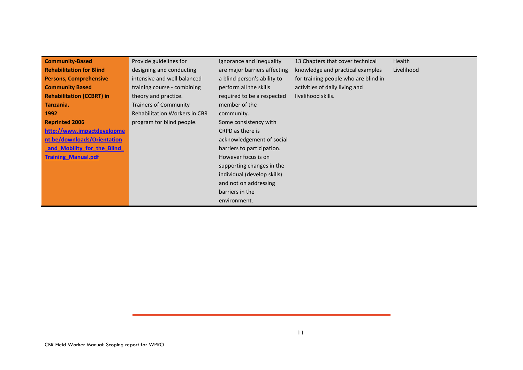| <b>Community-Based</b>           | Provide guidelines for               | Ignorance and inequality     | 13 Chapters that cover technical     | Health     |
|----------------------------------|--------------------------------------|------------------------------|--------------------------------------|------------|
| <b>Rehabilitation for Blind</b>  | designing and conducting             | are major barriers affecting | knowledge and practical examples     | Livelihood |
| <b>Persons, Comprehensive</b>    | intensive and well balanced          | a blind person's ability to  | for training people who are blind in |            |
| <b>Community Based</b>           | training course - combining          | perform all the skills       | activities of daily living and       |            |
| <b>Rehabilitation (CCBRT) in</b> | theory and practice.                 | required to be a respected   | livelihood skills.                   |            |
| Tanzania,                        | <b>Trainers of Community</b>         | member of the                |                                      |            |
| 1992                             | <b>Rehabilitation Workers in CBR</b> | community.                   |                                      |            |
| <b>Reprinted 2006</b>            | program for blind people.            | Some consistency with        |                                      |            |
| http://www.impactdevelopme       |                                      | CRPD as there is             |                                      |            |
| nt.be/downloads/Orientation      |                                      | acknowledgement of social    |                                      |            |
| and Mobility for the Blind       |                                      | barriers to participation.   |                                      |            |
| <b>Training Manual.pdf</b>       |                                      | However focus is on          |                                      |            |
|                                  |                                      | supporting changes in the    |                                      |            |
|                                  |                                      | individual (develop skills)  |                                      |            |
|                                  |                                      | and not on addressing        |                                      |            |
|                                  |                                      | barriers in the              |                                      |            |
|                                  |                                      | environment.                 |                                      |            |